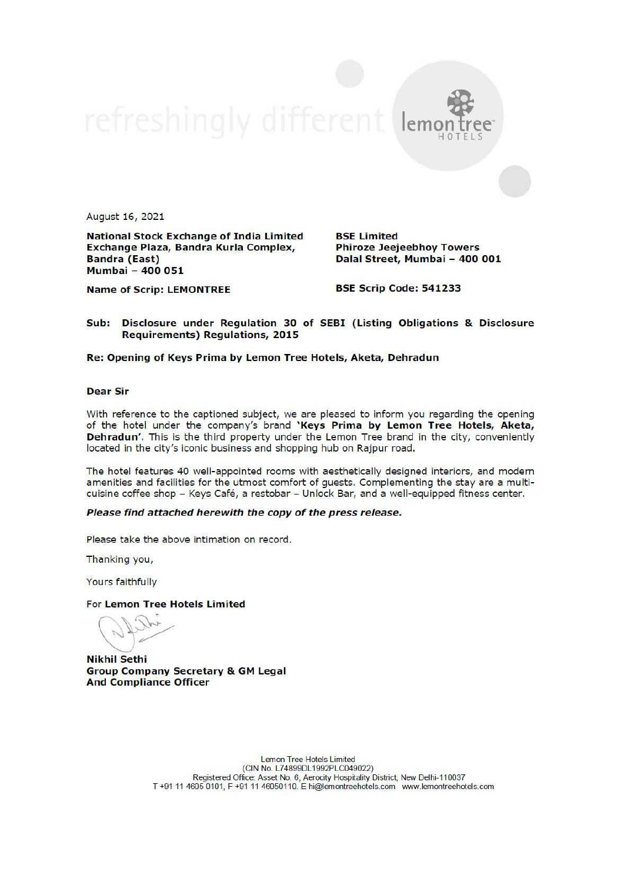$lem<sub>c</sub>$ 

August 16, 2021

National Stock Exchange of India Limited<br>Exchange Plaza, Bandra Kurla Complex, Phiroze Jeejeebhoy Towers Exchange Plaza, Bandra Kurla Complex, Bandra (East) Dalal Street, Mumbai — 400 001 Mumbai - 400 051

HOTELS

Name of Scrip: LEMONTREE BSE Scrip Code: 541233

# Sub: Disclosure under Regulation 30 of SEBI (Listing Obligations & Disclosure Requirements) Regulations, 2015

### Re: Opening of Keys Prima by Lemon Tree Hotels, Aketa, Dehradun

### Dear Sir

With reference to the captioned subject, we are pleased to inform you regarding the opening of the hotel under the company's brand 'Keys Prima by Lemon Tree Hotels, Aketa, Dehradun'. This is the third property under the Lemon Tree brand in the city, conveniently located in the city's iconic business and shopping hub on Rajpur road.

The hotel features 40 well-appointed rooms with aesthetically designed interiors, and modern amenities and facilities for the utmost comfort of guests. Complementing the stay are a multicuisine coffee shop - Keys Café, a restobar - Unlock Bar, and a well-equipped fitness center.

## Please find attached herewith the copy of the press release.

Please take the above intimation on record.

Thanking you,

Yours faithfully

### For Lemon Tree Hotels Limited

Nikhil Sethi Group Company Secretary & GM Legal And Compliance Officer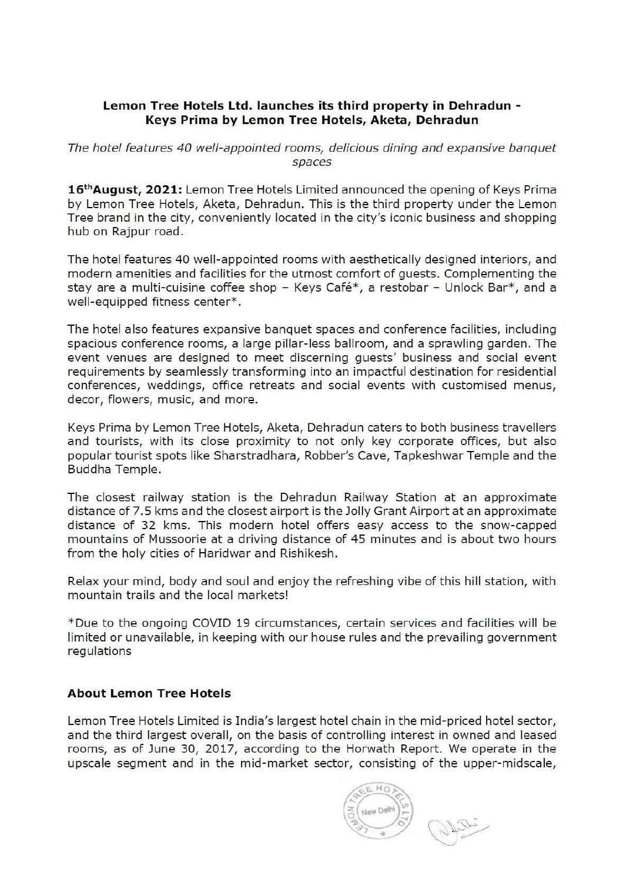# Lemon Tree Hotels Ltd. launches its third property in Dehradun - Keys Prima by Lemon Tree Hotels, Aketa, Dehradun

The hotel features 40 well-appointed rooms, delicious dining and expansive banquet spaces

16<sup>th</sup> August, 2021: Lemon Tree Hotels Limited announced the opening of Keys Prima by Lemon Tree Hotels, Aketa, Dehradun. This is the third property under the Lemon Tree brand in the city, conveniently located in the city's iconic business and shopping hub on Rajpur road.

The hotel features 40 well-appointed rooms with aesthetically designed interiors, and modern amenities and facilities for the utmost comfort of guests. Complementing the stay are a multi-cuisine coffee shop - Keys Café\*, a restobar - Unlock Bar\*, and a well-equipped fitness center\*.

The hotel also features expansive banquet spaces and conference facilities, including spacious conference rooms, a large pillar-less ballroom, and a sprawling garden. The event venues are designed to meet discerning guests' business and social event requirements by seamlessly transforming into an impactful destination for residential conferences, weddings, office retreats and social events with customised menus, decor, flowers, music, and more.

Keys Prima by Lemon Tree Hotels, Aketa, Dehradun caters to both business travellers and tourists, with its close proximity to not only key corporate offices, but also popular tourist spots like Sharstradhara, Robber's Cave, Tapkeshwar Temple and the Buddha Temple.

The closest railway station is the Dehradun Railway Station at an approximate distance of 7.5 kms and the closest airport is the Jolly Grant Airport at an approximate distance of 32 kms. This modern hotel offers easy access to the snow-capped mountains of Mussoorie at a driving distance of 45 minutes and is about two hours from the holy cities of Haridwar and Rishikesh.

Relax your mind, body and soul and enjoy the refreshing vibe of this hill station, with mountain trails and the local markets!

\*Due to the ongoing COVID 19 circumstances, certain services and facilities will be limited or unavailable, in keeping with our house rules and the prevailing government regulations

# About Lemon Tree Hotels

Lemon Tree Hotels Limited is India's largest hotel chain in the mid-priced hotel sector, and the third largest overall, on the basis of controlling interest in owned and leased rooms, as of June 30, 2017, according to the Horwath Report. We operate in the upscale segment and in the mid-market sector, consisting of the upper-midscale,